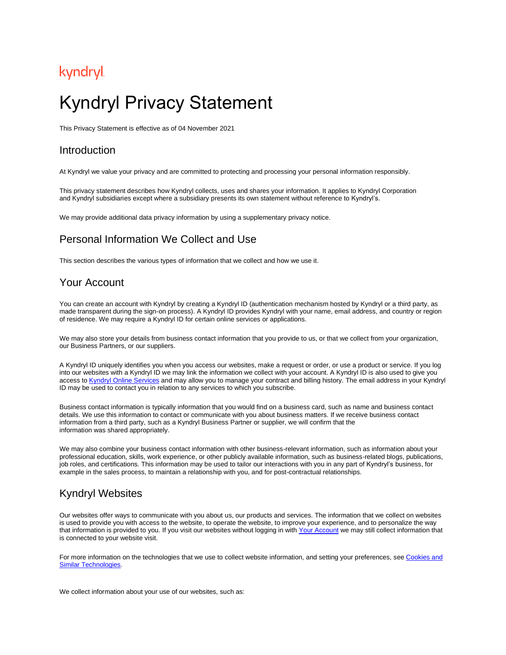## kyndryl

# Kyndryl Privacy Statement

This Privacy Statement is effective as of 04 November 2021

#### Introduction

At Kyndryl we value your privacy and are committed to protecting and processing your personal information responsibly.

This privacy statement describes how Kyndryl collects, uses and shares your information. It applies to Kyndryl Corporation and Kyndryl subsidiaries except where a subsidiary presents its own statement without reference to Kyndryl's.

We may provide additional data privacy information by using a supplementary privacy notice.

#### Personal Information We Collect and Use

This section describes the various types of information that we collect and how we use it.

#### <span id="page-0-0"></span>Your Account

You can create an account with Kyndryl by creating a Kyndryl ID (authentication mechanism hosted by Kyndryl or a third party, as made transparent during the sign-on process). A Kyndryl ID provides Kyndryl with your name, email address, and country or region of residence. We may require a Kyndryl ID for certain online services or applications.

We may also store your details from business contact information that you provide to us, or that we collect from your organization, our Business Partners, or our suppliers.

A Kyndryl ID uniquely identifies you when you access our websites, make a request or order, or use a product or service. If you log into our websites with a Kyndryl ID we may link the information we collect with your account. A Kyndryl ID is also used to give you access to Kyndryl [Online Services](#page-1-0) and may allow you to manage your contract and billing history. The email address in your Kyndryl ID may be used to contact you in relation to any services to which you subscribe.

Business contact information is typically information that you would find on a business card, such as name and business contact details. We use this information to contact or communicate with you about business matters. If we receive business contact information from a third party, such as a Kyndryl Business Partner or supplier, we will confirm that the information was shared appropriately.

We may also combine your business contact information with other business-relevant information, such as information about your professional education, skills, work experience, or other publicly available information, such as business-related blogs, publications, job roles, and certifications. This information may be used to tailor our interactions with you in any part of Kyndryl's business, for example in the sales process, to maintain a relationship with you, and for post-contractual relationships.

#### <span id="page-0-1"></span>Kyndryl Websites

Our websites offer ways to communicate with you about us, our products and services. The information that we collect on websites is used to provide you with access to the website, to operate the website, to improve your experience, and to personalize the way that information is provided to you. If you visit our websites without logging in with Your [Account](#page-0-0) we may still collect information that is connected to your website visit.

For more information on the technologies that we use to collect website information, and setting your preferences, see [Cookies and](#page-4-0)  Similar [Technologies.](#page-4-0)

We collect information about your use of our websites, such as: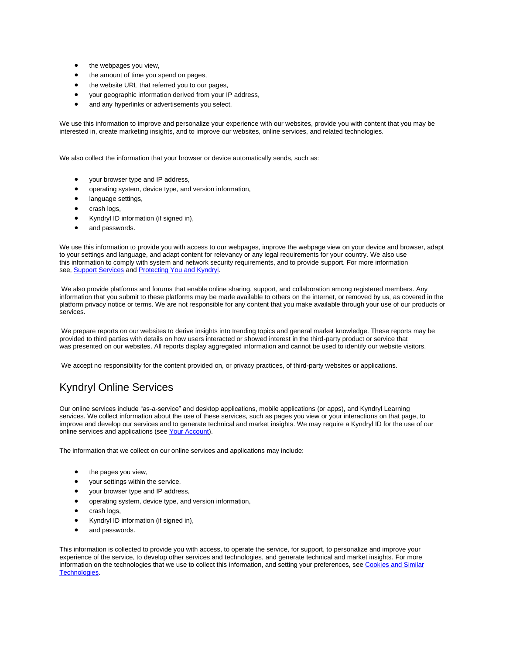- the webpages you view,
- the amount of time you spend on pages,
- the website URL that referred you to our pages,
- your geographic information derived from your IP address,
- and any hyperlinks or advertisements you select.

We use this information to improve and personalize your experience with our websites, provide you with content that you may be interested in, create marketing insights, and to improve our websites, online services, and related technologies.

We also collect the information that your browser or device automatically sends, such as:

- your browser type and IP address,
- operating system, device type, and version information,
- language settings,
- crash logs,
- Kyndryl ID information (if signed in),
- and passwords.

We use this information to provide you with access to our webpages, improve the webpage view on your device and browser, adapt to your settings and language, and adapt content for relevancy or any legal requirements for your country. We also use this information to comply with system and network security requirements, and to provide support. For more information see, [Support Services](#page-2-0) and [Protecting](#page-3-0) You and Kyndryl.

We also provide platforms and forums that enable online sharing, support, and collaboration among registered members. Any information that you submit to these platforms may be made available to others on the internet, or removed by us, as covered in the platform privacy notice or terms. We are not responsible for any content that you make available through your use of our products or services.

We prepare reports on our websites to derive insights into trending topics and general market knowledge. These reports may be provided to third parties with details on how users interacted or showed interest in the third-party product or service that was presented on our websites. All reports display aggregated information and cannot be used to identify our website visitors.

We accept no responsibility for the content provided on, or privacy practices, of third-party websites or applications.

### <span id="page-1-0"></span>Kyndryl Online Services

Our online services include "as-a-service" and desktop applications, mobile applications (or apps), and Kyndryl Learning services. We collect information about the use of these services, such as pages you view or your interactions on that page, to improve and develop our services and to generate technical and market insights. We may require a Kyndryl ID for the use of our online services and applications (see [Your Account\)](#page-0-0).

The information that we collect on our online services and applications may include:

- the pages you view,
- your settings within the service,
- your browser type and IP address,
- operating system, device type, and version information,
- crash logs,
- Kyndryl ID information (if signed in),
- and passwords.

This information is collected to provide you with access, to operate the service, for support, to personalize and improve your experience of the service, to develop other services and technologies, and generate technical and market insights. For more information on the technologies that we use to collect this information, and setting your preferences, see Cookies and Similar [Technologies.](#page-4-0)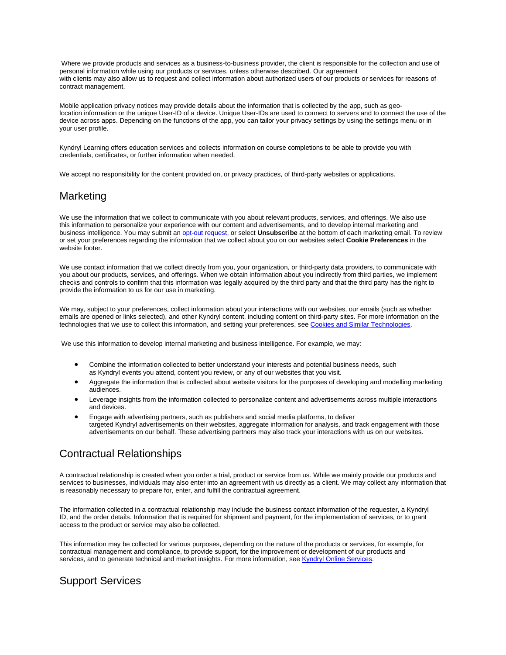Where we provide products and services as a business-to-business provider, the client is responsible for the collection and use of personal information while using our products or services, unless otherwise described. Our agreement with clients may also allow us to request and collect information about authorized users of our products or services for reasons of contract management.

Mobile application privacy notices may provide details about the information that is collected by the app, such as geolocation information or the unique User-ID of a device. Unique User-IDs are used to connect to servers and to connect the use of the device across apps. Depending on the functions of the app, you can tailor your privacy settings by using the settings menu or in your user profile.

Kyndryl Learning offers education services and collects information on course completions to be able to provide you with credentials, certificates, or further information when needed.

We accept no responsibility for the content provided on, or privacy practices, of third-party websites or applications.

#### <span id="page-2-2"></span>**Marketing**

We use the information that we collect to communicate with you about relevant products, services, and offerings. We also use this information to personalize your experience with our content and advertisements, and to develop internal marketing and business intelligence. You may submit an [opt-out request,](https://www.kyndryl.com/us/en/opt-out) or select **Unsubscribe** at the bottom of each marketing email. To review or set your preferences regarding the information that we collect about you on our websites select **Cookie Preferences** in the website footer.

We use contact information that we collect directly from you, your organization, or third-party data providers, to communicate with you about our products, services, and offerings. When we obtain information about you indirectly from third parties, we implement checks and controls to confirm that this information was legally acquired by the third party and that the third party has the right to provide the information to us for our use in marketing.

We may, subject to your preferences, collect information about your interactions with our websites, our emails (such as whether emails are opened or links selected), and other Kyndryl content, including content on third-party sites. For more information on the technologies that we use to collect this information, and setting your preferences, see [Cookies and Similar](#page-4-0) Technologies.

We use this information to develop internal marketing and business intelligence. For example, we may:

- Combine the information collected to better understand your interests and potential business needs, such as Kyndryl events you attend, content you review, or any of our websites that you visit.
- Aggregate the information that is collected about website visitors for the purposes of developing and modelling marketing audiences.
- Leverage insights from the information collected to personalize content and advertisements across multiple interactions and devices.
- Engage with advertising partners, such as publishers and social media platforms, to deliver targeted Kyndryl advertisements on their websites, aggregate information for analysis, and track engagement with those advertisements on our behalf. These advertising partners may also track your interactions with us on our websites.

#### <span id="page-2-1"></span>Contractual Relationships

A contractual relationship is created when you order a trial, product or service from us. While we mainly provide our products and services to businesses, individuals may also enter into an agreement with us directly as a client. We may collect any information that is reasonably necessary to prepare for, enter, and fulfill the contractual agreement.

The information collected in a contractual relationship may include the business contact information of the requester, a Kyndryl ID, and the order details. Information that is required for shipment and payment, for the implementation of services, or to grant access to the product or service may also be collected.

This information may be collected for various purposes, depending on the nature of the products or services, for example, for contractual management and compliance, to provide support, for the improvement or development of our products and services, and to generate technical and market insights. For more information, see Kyndryl [Online Services.](#page-1-0)

#### <span id="page-2-0"></span>Support Services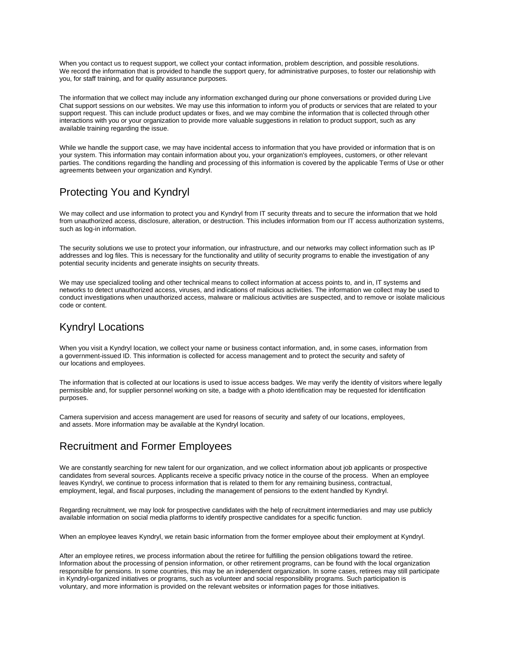When you contact us to request support, we collect your contact information, problem description, and possible resolutions. We record the information that is provided to handle the support query, for administrative purposes, to foster our relationship with you, for staff training, and for quality assurance purposes.

The information that we collect may include any information exchanged during our phone conversations or provided during Live Chat support sessions on our websites. We may use this information to inform you of products or services that are related to your support request. This can include product updates or fixes, and we may combine the information that is collected through other interactions with you or your organization to provide more valuable suggestions in relation to product support, such as any available training regarding the issue.

While we handle the support case, we may have incidental access to information that you have provided or information that is on your system. This information may contain information about you, your organization's employees, customers, or other relevant parties. The conditions regarding the handling and processing of this information is covered by the applicable Terms of Use or other agreements between your organization and Kyndryl.

### <span id="page-3-0"></span>Protecting You and Kyndryl

We may collect and use information to protect you and Kyndryl from IT security threats and to secure the information that we hold from unauthorized access, disclosure, alteration, or destruction. This includes information from our IT access authorization systems, such as log-in information.

The security solutions we use to protect your information, our infrastructure, and our networks may collect information such as IP addresses and log files. This is necessary for the functionality and utility of security programs to enable the investigation of any potential security incidents and generate insights on security threats.

We may use specialized tooling and other technical means to collect information at access points to, and in, IT systems and networks to detect unauthorized access, viruses, and indications of malicious activities. The information we collect may be used to conduct investigations when unauthorized access, malware or malicious activities are suspected, and to remove or isolate malicious code or content.

### <span id="page-3-2"></span>Kyndryl Locations

When you visit a Kyndryl location, we collect your name or business contact information, and, in some cases, information from a government-issued ID. This information is collected for access management and to protect the security and safety of our locations and employees.

The information that is collected at our locations is used to issue access badges. We may verify the identity of visitors where legally permissible and, for supplier personnel working on site, a badge with a photo identification may be requested for identification purposes.

Camera supervision and access management are used for reasons of security and safety of our locations, employees, and assets. More information may be available at the Kyndryl location.

### <span id="page-3-1"></span>Recruitment and Former Employees

We are constantly searching for new talent for our organization, and we collect information about job applicants or prospective candidates from several sources. Applicants receive a specific privacy notice in the course of the process. When an employee leaves Kyndryl, we continue to process information that is related to them for any remaining business, contractual, employment, legal, and fiscal purposes, including the management of pensions to the extent handled by Kyndryl.

Regarding recruitment, we may look for prospective candidates with the help of recruitment intermediaries and may use publicly available information on social media platforms to identify prospective candidates for a specific function.

When an employee leaves Kyndryl, we retain basic information from the former employee about their employment at Kyndryl.

After an employee retires, we process information about the retiree for fulfilling the pension obligations toward the retiree. Information about the processing of pension information, or other retirement programs, can be found with the local organization responsible for pensions. In some countries, this may be an independent organization. In some cases, retirees may still participate in Kyndryl-organized initiatives or programs, such as volunteer and social responsibility programs. Such participation is voluntary, and more information is provided on the relevant websites or information pages for those initiatives.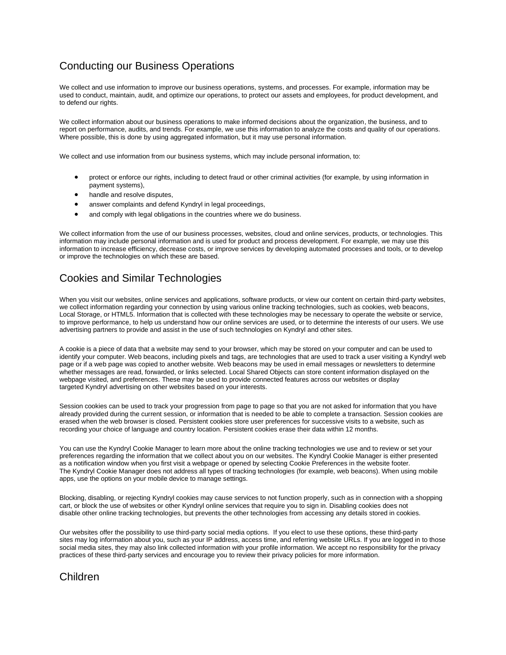### <span id="page-4-1"></span>Conducting our Business Operations

We collect and use information to improve our business operations, systems, and processes. For example, information may be used to conduct, maintain, audit, and optimize our operations, to protect our assets and employees, for product development, and to defend our rights.

We collect information about our business operations to make informed decisions about the organization, the business, and to report on performance, audits, and trends. For example, we use this information to analyze the costs and quality of our operations. Where possible, this is done by using aggregated information, but it may use personal information.

We collect and use information from our business systems, which may include personal information, to:

- protect or enforce our rights, including to detect fraud or other criminal activities (for example, by using information in payment systems),
- handle and resolve disputes.
- answer complaints and defend Kyndryl in legal proceedings,
- and comply with legal obligations in the countries where we do business.

We collect information from the use of our business processes, websites, cloud and online services, products, or technologies. This information may include personal information and is used for product and process development. For example, we may use this information to increase efficiency, decrease costs, or improve services by developing automated processes and tools, or to develop or improve the technologies on which these are based.

#### <span id="page-4-0"></span>Cookies and Similar Technologies

When you visit our websites, online services and applications, software products, or view our content on certain third-party websites, we collect information regarding your connection by using various online tracking technologies, such as cookies, web beacons, Local Storage, or HTML5. Information that is collected with these technologies may be necessary to operate the website or service, to improve performance, to help us understand how our online services are used, or to determine the interests of our users. We use advertising partners to provide and assist in the use of such technologies on Kyndryl and other sites.

A cookie is a piece of data that a website may send to your browser, which may be stored on your computer and can be used to identify your computer. Web beacons, including pixels and tags, are technologies that are used to track a user visiting a Kyndryl web page or if a web page was copied to another website. Web beacons may be used in email messages or newsletters to determine whether messages are read, forwarded, or links selected. Local Shared Objects can store content information displayed on the webpage visited, and preferences. These may be used to provide connected features across our websites or display targeted Kyndryl advertising on other websites based on your interests.

Session cookies can be used to track your progression from page to page so that you are not asked for information that you have already provided during the current session, or information that is needed to be able to complete a transaction. Session cookies are erased when the web browser is closed. Persistent cookies store user preferences for successive visits to a website, such as recording your choice of language and country location. Persistent cookies erase their data within 12 months.

You can use the Kyndryl Cookie Manager to learn more about the online tracking technologies we use and to review or set your preferences regarding the information that we collect about you on our websites. The Kyndryl Cookie Manager is either presented as a notification window when you first visit a webpage or opened by selecting Cookie Preferences in the website footer. The Kyndryl Cookie Manager does not address all types of tracking technologies (for example, web beacons). When using mobile apps, use the options on your mobile device to manage settings.

Blocking, disabling, or rejecting Kyndryl cookies may cause services to not function properly, such as in connection with a shopping cart, or block the use of websites or other Kyndryl online services that require you to sign in. Disabling cookies does not disable other online tracking technologies, but prevents the other technologies from accessing any details stored in cookies.

Our websites offer the possibility to use third-party social media options. If you elect to use these options, these third-party sites may log information about you, such as your IP address, access time, and referring website URLs. If you are logged in to those social media sites, they may also link collected information with your profile information. We accept no responsibility for the privacy practices of these third-party services and encourage you to review their privacy policies for more information.

### Children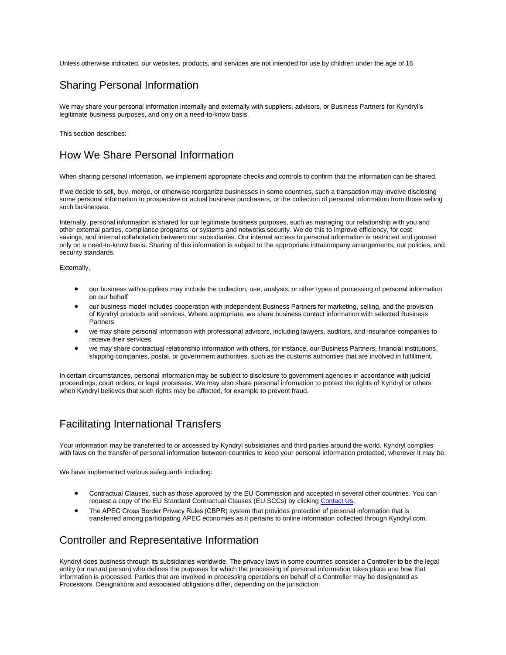Unless otherwise indicated, our websites, products, and services are not intended for use by children under the age of 16.

#### Sharing Personal Information

We may share your personal information internally and externally with suppliers, advisors, or Business Partners for Kyndryl's legitimate business purposes, and only on a need-to-know basis.

This section describes:

#### How We Share Personal Information

When sharing personal information, we implement appropriate checks and controls to confirm that the information can be shared.

If we decide to sell, buy, merge, or otherwise reorganize businesses in some countries, such a transaction may involve disclosing some personal information to prospective or actual business purchasers, or the collection of personal information from those selling such businesses.

Internally, personal information is shared for our legitimate business purposes, such as managing our relationship with you and other external parties, compliance programs, or systems and networks security. We do this to improve efficiency, for cost savings, and internal collaboration between our subsidiaries. Our internal access to personal information is restricted and granted only on a need-to-know basis. Sharing of this information is subject to the appropriate intracompany arrangements, our policies, and security standards.

Externally,

- our business with suppliers may include the collection, use, analysis, or other types of processing of personal information on our behalf
- our business model includes cooperation with independent Business Partners for marketing, selling, and the provision of Kyndryl products and services. Where appropriate, we share business contact information with selected Business Partners
- we may share personal information with professional advisors, including lawyers, auditors, and insurance companies to receive their services
- we may share contractual relationship information with others, for instance, our Business Partners, financial institutions, shipping companies, postal, or government authorities, such as the customs authorities that are involved in fulfillment.

In certain circumstances, personal information may be subject to disclosure to government agencies in accordance with judicial proceedings, court orders, or legal processes. We may also share personal information to protect the rights of Kyndryl or others when Kyndryl believes that such rights may be affected, for example to prevent fraud.

#### Facilitating International Transfers

Your information may be transferred to or accessed by Kyndryl subsidiaries and third parties around the world. Kyndryl complies with laws on the transfer of personal information between countries to keep your personal information protected, wherever it may be.

We have implemented various safeguards including:

- Contractual Clauses, such as those approved by the EU Commission and accepted in several other countries. You can request a copy of the EU Standard Contractual Clauses (EU SCCs) by clicking [Contact Us.](https://www.kyndryl.com/privacy/portal/contact/us-en)
- The APEC Cross Border Privacy Rules (CBPR) system that provides protection of personal information that is transferred among participating APEC economies as it pertains to online information collected through Kyndryl.com.

### Controller and Representative Information

Kyndryl does business through its subsidiaries worldwide. The privacy laws in some countries consider a Controller to be the legal entity (or natural person) who defines the purposes for which the processing of personal information takes place and how that information is processed. Parties that are involved in processing operations on behalf of a Controller may be designated as Processors. Designations and associated obligations differ, depending on the jurisdiction.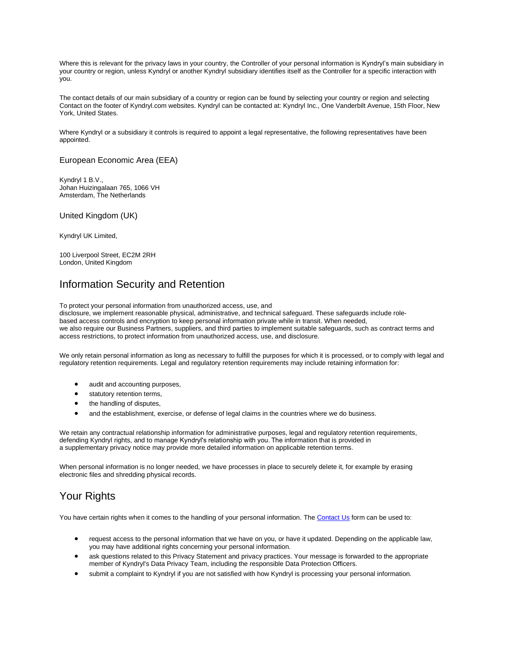Where this is relevant for the privacy laws in your country, the Controller of your personal information is Kyndryl's main subsidiary in your country or region, unless Kyndryl or another Kyndryl subsidiary identifies itself as the Controller for a specific interaction with you.

The contact details of our main subsidiary of a country or region can be found by selecting your country or region and selecting Contact on the footer of Kyndryl.com websites. Kyndryl can be contacted at: Kyndryl Inc., One Vanderbilt Avenue, 15th Floor, New York, United States.

Where Kyndryl or a subsidiary it controls is required to appoint a legal representative, the following representatives have been appointed.

#### European Economic Area (EEA)

Kyndryl 1 B.V., Johan Huizingalaan 765, 1066 VH Amsterdam, The Netherlands

#### United Kingdom (UK)

Kyndryl UK Limited,

100 Liverpool Street, EC2M 2RH London, United Kingdom

#### Information Security and Retention

To protect your personal information from unauthorized access, use, and

disclosure, we implement reasonable physical, administrative, and technical safeguard. These safeguards include rolebased access controls and encryption to keep personal information private while in transit. When needed, we also require our Business Partners, suppliers, and third parties to implement suitable safeguards, such as contract terms and access restrictions, to protect information from unauthorized access, use, and disclosure.

We only retain personal information as long as necessary to fulfill the purposes for which it is processed, or to comply with legal and regulatory retention requirements. Legal and regulatory retention requirements may include retaining information for:

- audit and accounting purposes,
- statutory retention terms,
- the handling of disputes,
- and the establishment, exercise, or defense of legal claims in the countries where we do business.

We retain any contractual relationship information for administrative purposes, legal and regulatory retention requirements, defending Kyndryl rights, and to manage Kyndryl's relationship with you. The information that is provided in a supplementary privacy notice may provide more detailed information on applicable retention terms.

When personal information is no longer needed, we have processes in place to securely delete it, for example by erasing electronic files and shredding physical records.

### Your Rights

You have certain rights when it comes to the handling of your personal information. The [Contact Us](https://www.kyndryl.com/privacy/portal/contact/us-en) form can be used to:

- request access to the personal information that we have on you, or have it updated. Depending on the applicable law, you may have additional rights concerning your personal information.
- ask questions related to this Privacy Statement and privacy practices. Your message is forwarded to the appropriate member of Kyndryl's Data Privacy Team, including the responsible Data Protection Officers.
- submit a complaint to Kyndryl if you are not satisfied with how Kyndryl is processing your personal information.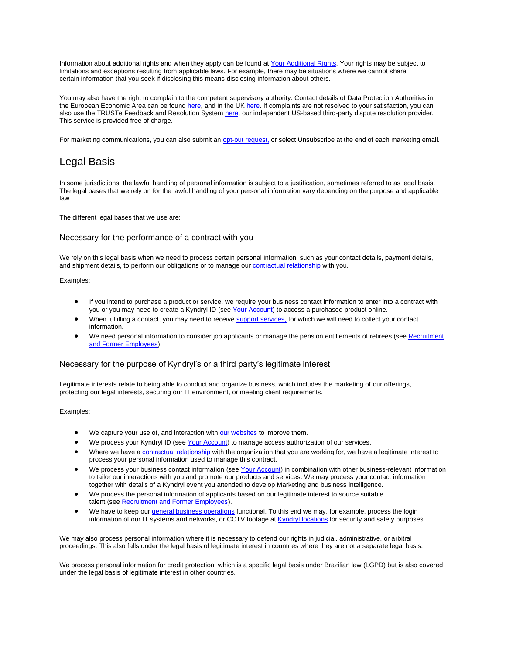Information about additional rights and when they apply can be found at [Your Additional Rights.](https://www.kyndryl.com/us/en/privacy/your-additional-rights) Your rights may be subject to limitations and exceptions resulting from applicable laws. For example, there may be situations where we cannot share certain information that you seek if disclosing this means disclosing information about others.

You may also have the right to complain to the competent supervisory authority. Contact details of Data Protection Authorities in the European Economic Area can be found [here,](https://edpb.europa.eu/about-edpb/about-edpb/members_en) and in the UK [here.](https://ico.org.uk/) If complaints are not resolved to your satisfaction, you can also use the TRUSTe Feedback and Resolution System [here,](https://feedback-form.truste.com/watchdog/request) our independent US-based third-party dispute resolution provider. This service is provided free of charge.

For marketing communications, you can also submit an [opt-out request,](https://www.kyndryl.com/us/en/opt-out) or select Unsubscribe at the end of each marketing email.

#### Legal Basis

In some jurisdictions, the lawful handling of personal information is subject to a justification, sometimes referred to as legal basis. The legal bases that we rely on for the lawful handling of your personal information vary depending on the purpose and applicable law.

The different legal bases that we use are:

#### Necessary for the performance of a contract with you

We rely on this legal basis when we need to process certain personal information, such as your contact details, payment details, and shipment details, to perform our obligations or to manage our [contractual relationship](#page-2-1) with you.

#### Examples:

- If you intend to purchase a product or service, we require your business contact information to enter into a contract with you or you may need to create a Kyndryl ID (see [Your Account\)](#page-0-0) to access a purchased product online.
- When fulfilling a contact, you may need to receive support [services,](#page-2-0) for which we will need to collect your contact information.
- We need personal information to consider job applicants or manage the pension entitlements of retirees (see Recruitment [and Former Employees\)](#page-3-1).

#### Necessary for the purpose of Kyndryl's or a third party's legitimate interest

Legitimate interests relate to being able to conduct and organize business, which includes the marketing of our offerings, protecting our legal interests, securing our IT environment, or meeting client requirements.

Examples:

- We capture your use of, and interaction with [our websites](#page-0-1) to improve them.
- We process your Kyndryl ID (see [Your Account\)](#page-0-0) to manage access authorization of our services.
- Where we have a [contractual relationship](#page-2-1) with the organization that you are working for, we have a legitimate interest to process your personal information used to manage this contract.
- We process your business contact information (see [Your Account\)](#page-0-0) in combination with other business-relevant information to tailor our interactions with you and promote our products and services. We may process your contact information together with details of a Kyndryl event you attended to develop Marketing and business intelligence.
- We process the personal information of applicants based on our legitimate interest to source suitable talent (see [Recruitment and Former Employees\)](#page-3-1).
- We have to keep our [general business operations](#page-4-1) functional. To this end we may, for example, process the login information of our IT systems and networks, or CCTV footage at *Kyndryl [locations](#page-3-2)* for security and safety purposes.

We may also process personal information where it is necessary to defend our rights in judicial, administrative, or arbitral proceedings. This also falls under the legal basis of legitimate interest in countries where they are not a separate legal basis.

We process personal information for credit protection, which is a specific legal basis under Brazilian law (LGPD) but is also covered under the legal basis of legitimate interest in other countries.